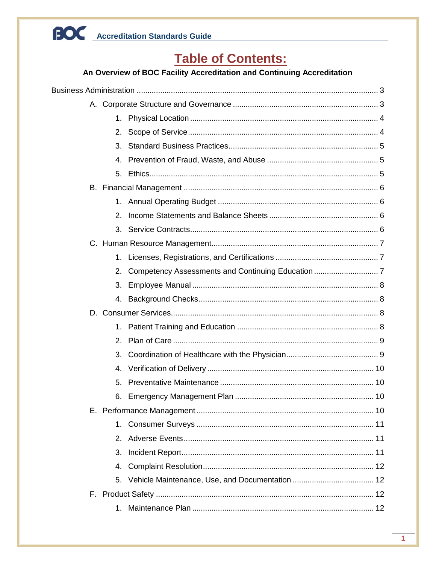## **Table of Contents:**

## An Overview of BOC Facility Accreditation and Continuing Accreditation

|  | 2.             |  |  |  |
|--|----------------|--|--|--|
|  | 3.             |  |  |  |
|  | 4.             |  |  |  |
|  |                |  |  |  |
|  |                |  |  |  |
|  |                |  |  |  |
|  | 2.             |  |  |  |
|  |                |  |  |  |
|  |                |  |  |  |
|  | 1.             |  |  |  |
|  | 2.             |  |  |  |
|  | 3.             |  |  |  |
|  |                |  |  |  |
|  |                |  |  |  |
|  | 1.             |  |  |  |
|  | 2 <sub>1</sub> |  |  |  |
|  | 3.             |  |  |  |
|  | 4.             |  |  |  |
|  | 5.             |  |  |  |
|  |                |  |  |  |
|  |                |  |  |  |
|  |                |  |  |  |
|  |                |  |  |  |
|  | 3.             |  |  |  |
|  | 4.             |  |  |  |
|  |                |  |  |  |
|  |                |  |  |  |
|  | 1.             |  |  |  |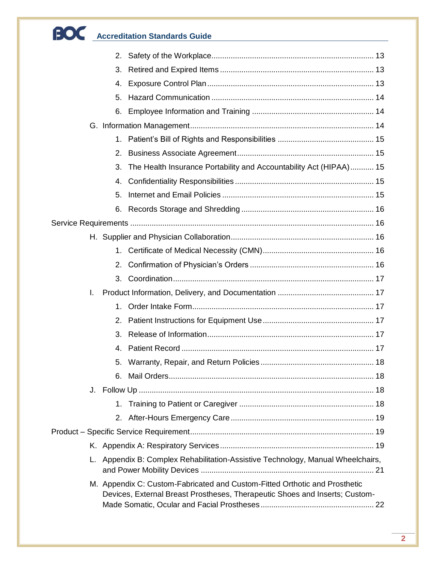| 3. |                                                                                                                                                           |  |  |  |
|----|-----------------------------------------------------------------------------------------------------------------------------------------------------------|--|--|--|
| 4. |                                                                                                                                                           |  |  |  |
| 5. |                                                                                                                                                           |  |  |  |
|    |                                                                                                                                                           |  |  |  |
|    |                                                                                                                                                           |  |  |  |
|    |                                                                                                                                                           |  |  |  |
|    |                                                                                                                                                           |  |  |  |
| 3. | The Health Insurance Portability and Accountability Act (HIPAA) 15                                                                                        |  |  |  |
| 4. |                                                                                                                                                           |  |  |  |
| 5. |                                                                                                                                                           |  |  |  |
| 6. |                                                                                                                                                           |  |  |  |
|    |                                                                                                                                                           |  |  |  |
|    |                                                                                                                                                           |  |  |  |
|    |                                                                                                                                                           |  |  |  |
|    |                                                                                                                                                           |  |  |  |
|    |                                                                                                                                                           |  |  |  |
| L. |                                                                                                                                                           |  |  |  |
| 1. |                                                                                                                                                           |  |  |  |
| 2. |                                                                                                                                                           |  |  |  |
| 3. |                                                                                                                                                           |  |  |  |
| 4. |                                                                                                                                                           |  |  |  |
| 5. |                                                                                                                                                           |  |  |  |
|    |                                                                                                                                                           |  |  |  |
|    |                                                                                                                                                           |  |  |  |
|    |                                                                                                                                                           |  |  |  |
|    |                                                                                                                                                           |  |  |  |
|    |                                                                                                                                                           |  |  |  |
|    |                                                                                                                                                           |  |  |  |
|    | L. Appendix B: Complex Rehabilitation-Assistive Technology, Manual Wheelchairs,                                                                           |  |  |  |
|    | M. Appendix C: Custom-Fabricated and Custom-Fitted Orthotic and Prosthetic<br>Devices, External Breast Prostheses, Therapeutic Shoes and Inserts; Custom- |  |  |  |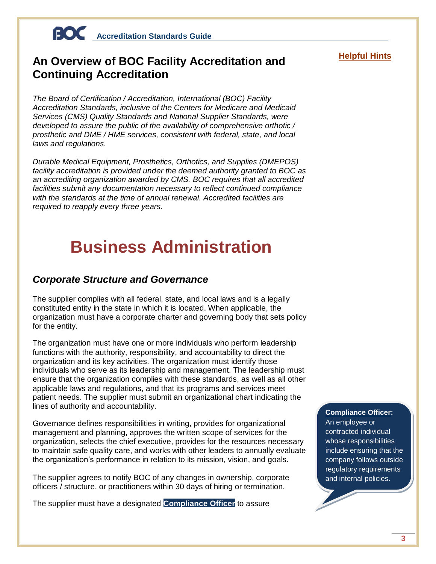## **An Overview of BOC Facility Accreditation and Continuing Accreditation**

*The Board of Certification / Accreditation, International (BOC) Facility Accreditation Standards, inclusive of the Centers for Medicare and Medicaid Services (CMS) Quality Standards and National Supplier Standards, were developed to assure the public of the availability of comprehensive orthotic / prosthetic and DME / HME services, consistent with federal, state, and local laws and regulations.* 

*Durable Medical Equipment, Prosthetics, Orthotics, and Supplies (DMEPOS) facility accreditation is provided under the deemed authority granted to BOC as an accrediting organization awarded by CMS. BOC requires that all accredited facilities submit any documentation necessary to reflect continued compliance with the standards at the time of annual renewal. Accredited facilities are required to reapply every three years.*

## <span id="page-3-0"></span>**Business Administration**

## <span id="page-3-1"></span>*Corporate Structure and Governance*

The supplier complies with all federal, state, and local laws and is a legally constituted entity in the state in which it is located. When applicable, the organization must have a corporate charter and governing body that sets policy for the entity.

The organization must have one or more individuals who perform leadership functions with the authority, responsibility, and accountability to direct the organization and its key activities. The organization must identify those individuals who serve as its leadership and management. The leadership must ensure that the organization complies with these standards, as well as all other applicable laws and regulations, and that its programs and services meet patient needs. The supplier must submit an organizational chart indicating the lines of authority and accountability.

Governance defines responsibilities in writing, provides for organizational management and planning, approves the written scope of services for the organization, selects the chief executive, provides for the resources necessary to maintain safe quality care, and works with other leaders to annually evaluate the organization's performance in relation to its mission, vision, and goals.

The supplier agrees to notify BOC of any changes in ownership, corporate officers / structure, or practitioners within 30 days of hiring or termination.

The supplier must have a designated **Compliance Officer** to assure

## **Helpful Hints**

## **Compliance Officer:**

An employee or contracted individual whose responsibilities include ensuring that the company follows outside regulatory requirements and internal policies.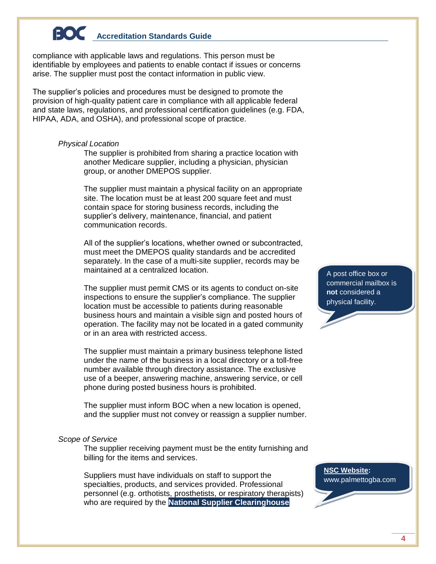compliance with applicable laws and regulations. This person must be identifiable by employees and patients to enable contact if issues or concerns arise. The supplier must post the contact information in public view.

The supplier's policies and procedures must be designed to promote the provision of high-quality patient care in compliance with all applicable federal and state laws, regulations, and professional certification guidelines (e.g. FDA, HIPAA, ADA, and OSHA), and professional scope of practice.

#### <span id="page-4-0"></span>*Physical Location*

The supplier is prohibited from sharing a practice location with another Medicare supplier, including a physician, physician group, or another DMEPOS supplier.

The supplier must maintain a physical facility on an appropriate site. The location must be at least 200 square feet and must contain space for storing business records, including the supplier's delivery, maintenance, financial, and patient communication records.

All of the supplier's locations, whether owned or subcontracted, must meet the DMEPOS quality standards and be accredited separately. In the case of a multi-site supplier, records may be maintained at a centralized location.

The supplier must permit CMS or its agents to conduct on-site inspections to ensure the supplier's compliance. The supplier location must be accessible to patients during reasonable business hours and maintain a visible sign and posted hours of operation. The facility may not be located in a gated community or in an area with restricted access.

The supplier must maintain a primary business telephone listed under the name of the business in a local directory or a toll-free number available through directory assistance. The exclusive use of a beeper, answering machine, answering service, or cell phone during posted business hours is prohibited.

The supplier must inform BOC when a new location is opened, and the supplier must not convey or reassign a supplier number.

## <span id="page-4-1"></span>*Scope of Service*

The supplier receiving payment must be the entity furnishing and billing for the items and services.

Suppliers must have individuals on staff to support the specialties, products, and services provided. Professional personnel (e.g. orthotists, prosthetists, or respiratory therapists) who are required by the **National Supplier Clearinghouse** 

A post office box or commercial mailbox is **not** considered a physical facility.

**NSC Website:**  www.palmettogba.com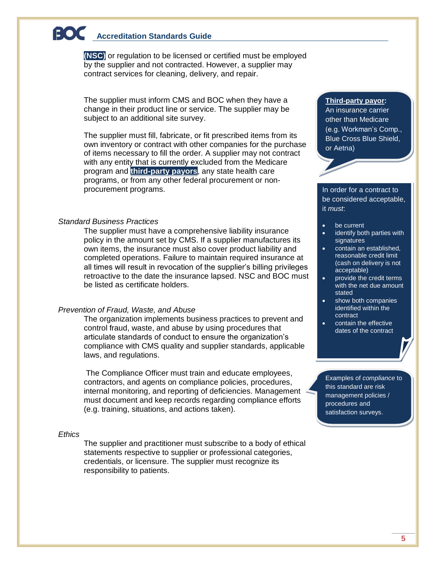**(NSC)** or regulation to be licensed or certified must be employed by the supplier and not contracted. However, a supplier may contract services for cleaning, delivery, and repair.

The supplier must inform CMS and BOC when they have a change in their product line or service. The supplier may be subject to an additional site survey.

The supplier must fill, fabricate, or fit prescribed items from its own inventory or contract with other companies for the purchase of items necessary to fill the order. A supplier may not contract with any entity that is currently excluded from the Medicare program and **third-party payors**, any state health care programs, or from any other federal procurement or nonprocurement programs.

#### <span id="page-5-0"></span>*Standard Business Practices*

The supplier must have a comprehensive liability insurance policy in the amount set by CMS. If a supplier manufactures its own items, the insurance must also cover product liability and completed operations. Failure to maintain required insurance at all times will result in revocation of the supplier's billing privileges retroactive to the date the insurance lapsed. NSC and BOC must be listed as certificate holders.

### <span id="page-5-1"></span>*Prevention of Fraud, Waste, and Abuse*

The organization implements business practices to prevent and control fraud, waste, and abuse by using procedures that articulate standards of conduct to ensure the organization's compliance with CMS quality and supplier standards, applicable laws, and regulations.

The Compliance Officer must train and educate employees, contractors, and agents on compliance policies, procedures, internal monitoring, and reporting of deficiencies. Management must document and keep records regarding compliance efforts (e.g. training, situations, and actions taken).

### <span id="page-5-2"></span>*Ethics*

The supplier and practitioner must subscribe to a body of ethical statements respective to supplier or professional categories, credentials, or licensure. The supplier must recognize its responsibility to patients.

#### **Third-party payor:**

An insurance carrier other than Medicare (e.g. Workman's Comp., Blue Cross Blue Shield, or Aetna)

In order for a contract to be considered acceptable, it *must*:

- be current
- identify both parties with signatures
- contain an established, reasonable credit limit (cash on delivery is not acceptable)
- provide the credit terms with the net due amount stated
- show both companies identified within the contract
- contain the effective dates of the contract

Examples of *compliance* to this standard are risk management policies / procedures and satisfaction surveys.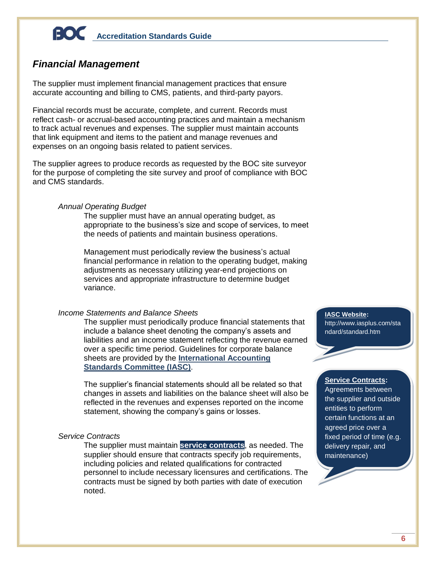## <span id="page-6-0"></span>*Financial Management*

The supplier must implement financial management practices that ensure accurate accounting and billing to CMS, patients, and third-party payors.

Financial records must be accurate, complete, and current. Records must reflect cash- or accrual-based accounting practices and maintain a mechanism to track actual revenues and expenses. The supplier must maintain accounts that link equipment and items to the patient and manage revenues and expenses on an ongoing basis related to patient services.

The supplier agrees to produce records as requested by the BOC site surveyor for the purpose of completing the site survey and proof of compliance with BOC and CMS standards.

## <span id="page-6-1"></span>*Annual Operating Budget*

The supplier must have an annual operating budget, as appropriate to the business's size and scope of services, to meet the needs of patients and maintain business operations.

Management must periodically review the business's actual financial performance in relation to the operating budget, making adjustments as necessary utilizing year-end projections on services and appropriate infrastructure to determine budget variance.

## <span id="page-6-2"></span>*Income Statements and Balance Sheets*

The supplier must periodically produce financial statements that include a balance sheet denoting the company's assets and liabilities and an income statement reflecting the revenue earned over a specific time period. Guidelines for corporate balance sheets are provided by the **International Accounting Standards Committee (IASC)**.

The supplier's financial statements should all be related so that changes in assets and liabilities on the balance sheet will also be reflected in the revenues and expenses reported on the income statement, showing the company's gains or losses.

## <span id="page-6-3"></span>*Service Contracts*

The supplier must maintain **service contracts**, as needed. The supplier should ensure that contracts specify job requirements, including policies and related qualifications for contracted personnel to include necessary licensures and certifications. The contracts must be signed by both parties with date of execution noted.

**IASC Website:**  [http://www.iasplus.com/sta](http://www.iasplus.com/standard/standard.htm) [ndard/standard.htm](http://www.iasplus.com/standard/standard.htm)

## **Service Contracts:**

Agreements between the supplier and outside entities to perform certain functions at an agreed price over a fixed period of time (e.g. delivery repair, and maintenance)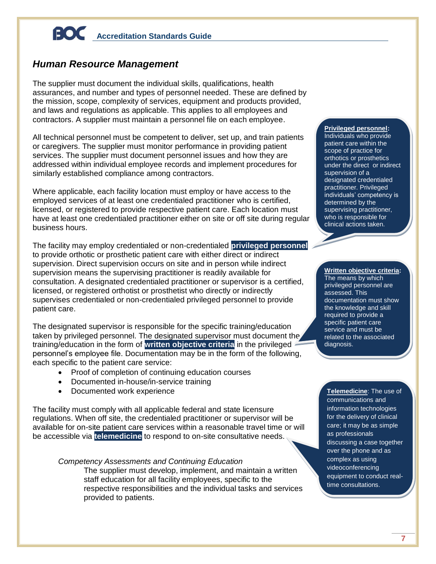## <span id="page-7-0"></span>*Human Resource Management*

The supplier must document the individual skills, qualifications, health assurances, and number and types of personnel needed. These are defined by the mission, scope, complexity of services, equipment and products provided, and laws and regulations as applicable. This applies to all employees and contractors. A supplier must maintain a personnel file on each employee.

All technical personnel must be competent to deliver, set up, and train patients or caregivers. The supplier must monitor performance in providing patient services. The supplier must document personnel issues and how they are addressed within individual employee records and implement procedures for similarly established compliance among contractors.

Where applicable, each facility location must employ or have access to the employed services of at least one credentialed practitioner who is certified, licensed, or registered to provide respective patient care. Each location must have at least one credentialed practitioner either on site or off site during regular business hours.

The facility may employ credentialed or non-credentialed **privileged personnel** to provide orthotic or prosthetic patient care with either direct or indirect supervision. Direct supervision occurs on site and in person while indirect supervision means the supervising practitioner is readily available for consultation. A designated credentialed practitioner or supervisor is a certified, licensed, or registered orthotist or prosthetist who directly or indirectly supervises credentialed or non-credentialed privileged personnel to provide patient care.

The designated supervisor is responsible for the specific training/education taken by privileged personnel. The designated supervisor must document the training/education in the form of **written objective criteria** in the privileged personnel's employee file. Documentation may be in the form of the following, each specific to the patient care service:

- Proof of completion of continuing education courses
- Documented in-house/in-service training
- Documented work experience

The facility must comply with all applicable federal and state licensure regulations. When off site, the credentialed practitioner or supervisor will be available for on-site patient care services within a reasonable travel time or will be accessible via **telemedicine** to respond to on-site consultative needs.

## <span id="page-7-1"></span>*Competency Assessments and Continuing Education*

The supplier must develop, implement, and maintain a written staff education for all facility employees, specific to the respective responsibilities and the individual tasks and services provided to patients.

#### **Privileged personnel:** Individuals who provide patient care within the scope of practice for orthotics or prosthetics under the direct or indirect supervision of a designated credentialed practitioner. Privileged individuals' competency is determined by the supervising practitioner, who is responsible for clinical actions taken.

**Written objective criteria:**  The means by which privileged personnel are assessed. This documentation must show the knowledge and skill required to provide a specific patient care service and must be related to the associated diagnosis.

**Telemedicine**: The use of communications and information technologies for the delivery of clinical care; it may be as simple as professionals discussing a case together over the phone and as complex as using videoconferencing equipment to conduct realtime consultations.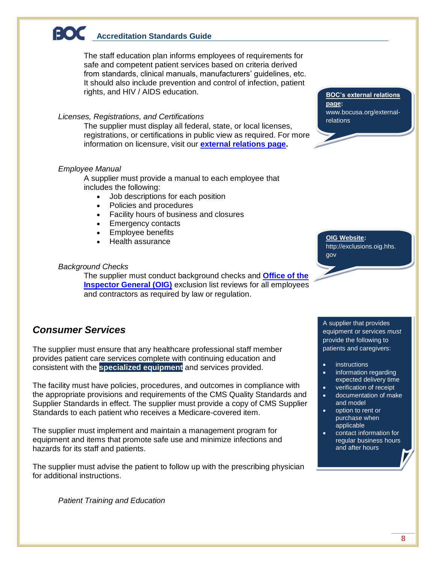The staff education plan informs employees of requirements for safe and competent patient services based on criteria derived from standards, clinical manuals, manufacturers' guidelines, etc. It should also include prevention and control of infection, patient rights, and HIV / AIDS education.

### *Licenses, Registrations, and Certifications*

The supplier must display all federal, state, or local licenses, registrations, or certifications in public view as required. For more information on licensure, visit our **[external relations page.](http://www.bocusa.org/external-relations)**

### <span id="page-8-0"></span>*Employee Manual*

A supplier must provide a manual to each employee that includes the following:

- Job descriptions for each position
- Policies and procedures
- Facility hours of business and closures
- Emergency contacts
- Employee benefits
- Health assurance

### <span id="page-8-1"></span>*Background Checks*

The supplier must conduct background checks and **[Office of the](http://exclusions.oig.hhs.gov/)  [Inspector General \(OIG\)](http://exclusions.oig.hhs.gov/)** exclusion list reviews for all employees and contractors as required by law or regulation.

## <span id="page-8-2"></span>*Consumer Services*

The supplier must ensure that any healthcare professional staff member provides patient care services complete with continuing education and consistent with the **specialized equipment** and services provided.

The facility must have policies, procedures, and outcomes in compliance with the appropriate provisions and requirements of the CMS Quality Standards and Supplier Standards in effect. The supplier must provide a copy of CMS Supplier Standards to each patient who receives a Medicare-covered item.

The supplier must implement and maintain a management program for equipment and items that promote safe use and minimize infections and hazards for its staff and patients.

<span id="page-8-3"></span>The supplier must advise the patient to follow up with the prescribing physician for additional instructions.

*Patient Training and Education*

**BOC's external relations page:**  [www.bocusa.org/external](http://www.bocusa.org/external-relations)[relations](http://www.bocusa.org/external-relations)

**OIG Website:**  http://exclusions.oig.hhs. gov

A supplier that provides

equipment or services *must* provide the following to patients and caregivers:

- **•** instructions
- information regarding expected delivery time
- verification of receipt
- documentation of make and model
- option to rent or purchase when applicable
- contact information for regular business hours and after hours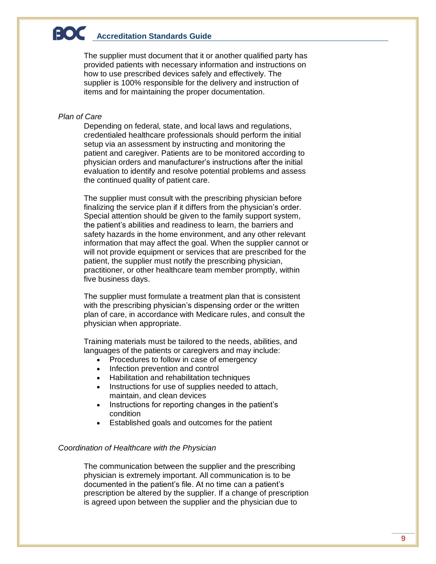The supplier must document that it or another qualified party has provided patients with necessary information and instructions on how to use prescribed devices safely and effectively. The supplier is 100% responsible for the delivery and instruction of items and for maintaining the proper documentation.

## <span id="page-9-0"></span>*Plan of Care*

Depending on federal, state, and local laws and regulations, credentialed healthcare professionals should perform the initial setup via an assessment by instructing and monitoring the patient and caregiver. Patients are to be monitored according to physician orders and manufacturer's instructions after the initial evaluation to identify and resolve potential problems and assess the continued quality of patient care.

The supplier must consult with the prescribing physician before finalizing the service plan if it differs from the physician's order. Special attention should be given to the family support system, the patient's abilities and readiness to learn, the barriers and safety hazards in the home environment, and any other relevant information that may affect the goal. When the supplier cannot or will not provide equipment or services that are prescribed for the patient, the supplier must notify the prescribing physician, practitioner, or other healthcare team member promptly, within five business days.

The supplier must formulate a treatment plan that is consistent with the prescribing physician's dispensing order or the written plan of care, in accordance with Medicare rules, and consult the physician when appropriate.

Training materials must be tailored to the needs, abilities, and languages of the patients or caregivers and may include:

- Procedures to follow in case of emergency
- Infection prevention and control
- Habilitation and rehabilitation techniques
- Instructions for use of supplies needed to attach, maintain, and clean devices
- Instructions for reporting changes in the patient's condition
- Established goals and outcomes for the patient

### <span id="page-9-1"></span>*Coordination of Healthcare with the Physician*

The communication between the supplier and the prescribing physician is extremely important. All communication is to be documented in the patient's file. At no time can a patient's prescription be altered by the supplier. If a change of prescription is agreed upon between the supplier and the physician due to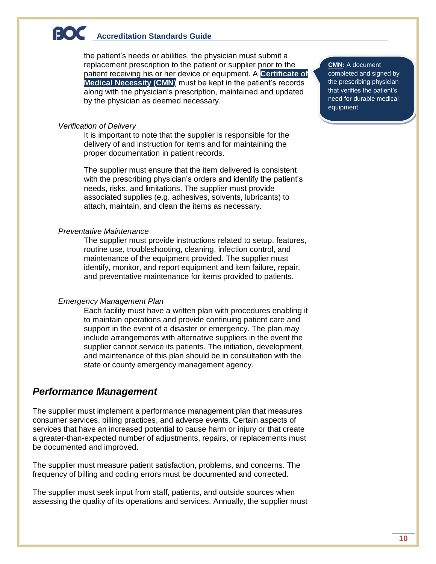the patient's needs or abilities, the physician must submit a replacement prescription to the patient or supplier prior to the patient receiving his or her device or equipment. A **Certificate of Medical Necessity (CMN)** must be kept in the patient's records along with the physician's prescription, maintained and updated by the physician as deemed necessary.

#### <span id="page-10-0"></span>*Verification of Delivery*

It is important to note that the supplier is responsible for the delivery of and instruction for items and for maintaining the proper documentation in patient records.

The supplier must ensure that the item delivered is consistent with the prescribing physician's orders and identify the patient's needs, risks, and limitations. The supplier must provide associated supplies (e.g. adhesives, solvents, lubricants) to attach, maintain, and clean the items as necessary.

### <span id="page-10-1"></span>*Preventative Maintenance*

The supplier must provide instructions related to setup, features, routine use, troubleshooting, cleaning, infection control, and maintenance of the equipment provided. The supplier must identify, monitor, and report equipment and item failure, repair, and preventative maintenance for items provided to patients.

## <span id="page-10-2"></span>*Emergency Management Plan*

Each facility must have a written plan with procedures enabling it to maintain operations and provide continuing patient care and support in the event of a disaster or emergency. The plan may include arrangements with alternative suppliers in the event the supplier cannot service its patients. The initiation, development, and maintenance of this plan should be in consultation with the state or county emergency management agency.

## <span id="page-10-3"></span>*Performance Management*

The supplier must implement a performance management plan that measures consumer services, billing practices, and adverse events. Certain aspects of services that have an increased potential to cause harm or injury or that create a greater-than-expected number of adjustments, repairs, or replacements must be documented and improved.

The supplier must measure patient satisfaction, problems, and concerns. The frequency of billing and coding errors must be documented and corrected.

The supplier must seek input from staff, patients, and outside sources when assessing the quality of its operations and services. Annually, the supplier must

#### **CMN:** A document

completed and signed by the prescribing physician that verifies the patient's need for durable medical equipment.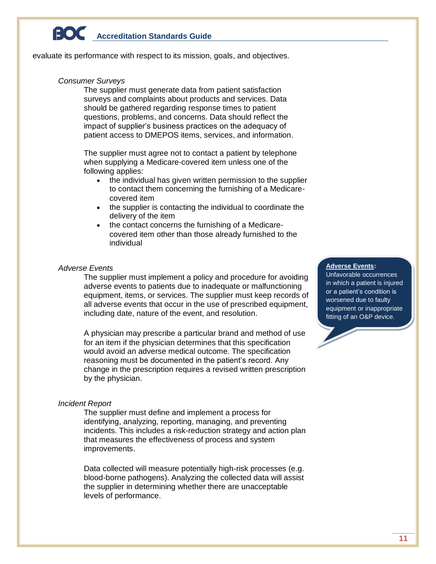<span id="page-11-0"></span>evaluate its performance with respect to its mission, goals, and objectives.

#### *Consumer Surveys*

The supplier must generate data from patient satisfaction surveys and complaints about products and services. Data should be gathered regarding response times to patient questions, problems, and concerns. Data should reflect the impact of supplier's business practices on the adequacy of patient access to DMEPOS items, services, and information.

The supplier must agree not to contact a patient by telephone when supplying a Medicare-covered item unless one of the following applies:

- the individual has given written permission to the supplier to contact them concerning the furnishing of a Medicarecovered item
- the supplier is contacting the individual to coordinate the delivery of the item
- the contact concerns the furnishing of a Medicarecovered item other than those already furnished to the individual

### <span id="page-11-1"></span>*Adverse Events*

The supplier must implement a policy and procedure for avoiding adverse events to patients due to inadequate or malfunctioning equipment, items, or services. The supplier must keep records of all adverse events that occur in the use of prescribed equipment, including date, nature of the event, and resolution.

A physician may prescribe a particular brand and method of use for an item if the physician determines that this specification would avoid an adverse medical outcome. The specification reasoning must be documented in the patient's record. Any change in the prescription requires a revised written prescription by the physician.

### <span id="page-11-2"></span>*Incident Report*

The supplier must define and implement a process for identifying, analyzing, reporting, managing, and preventing incidents. This includes a risk-reduction strategy and action plan that measures the effectiveness of process and system improvements.

Data collected will measure potentially high-risk processes (e.g. blood-borne pathogens). Analyzing the collected data will assist the supplier in determining whether there are unacceptable levels of performance.

## **Adverse Events:**

Unfavorable occurrences in which a patient is injured or a patient's condition is worsened due to faulty equipment or inappropriate fitting of an O&P device.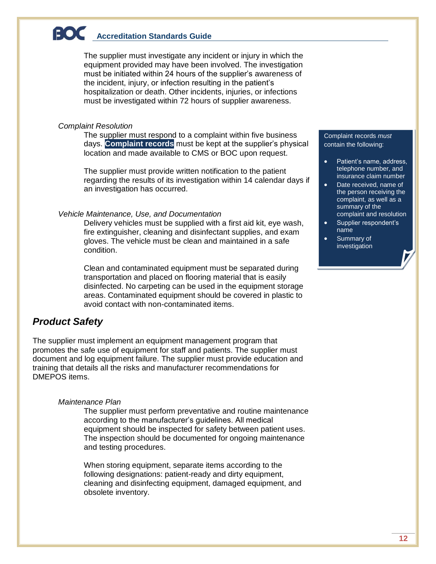The supplier must investigate any incident or injury in which the equipment provided may have been involved. The investigation must be initiated within 24 hours of the supplier's awareness of the incident, injury, or infection resulting in the patient's hospitalization or death. Other incidents, injuries, or infections must be investigated within 72 hours of supplier awareness.

## <span id="page-12-0"></span>*Complaint Resolution*

The supplier must respond to a complaint within five business days. **Complaint records** must be kept at the supplier's physical location and made available to CMS or BOC upon request.

The supplier must provide written notification to the patient regarding the results of its investigation within 14 calendar days if an investigation has occurred.

## <span id="page-12-1"></span>*Vehicle Maintenance, Use, and Documentation*

Delivery vehicles must be supplied with a first aid kit, eye wash, fire extinguisher, cleaning and disinfectant supplies, and exam gloves. The vehicle must be clean and maintained in a safe condition.

Clean and contaminated equipment must be separated during transportation and placed on flooring material that is easily disinfected. No carpeting can be used in the equipment storage areas. Contaminated equipment should be covered in plastic to avoid contact with non-contaminated items.

## <span id="page-12-2"></span>*Product Safety*

The supplier must implement an equipment management program that promotes the safe use of equipment for staff and patients. The supplier must document and log equipment failure. The supplier must provide education and training that details all the risks and manufacturer recommendations for DMEPOS items.

## <span id="page-12-3"></span>*Maintenance Plan*

The supplier must perform preventative and routine maintenance according to the manufacturer's guidelines. All medical equipment should be inspected for safety between patient uses. The inspection should be documented for ongoing maintenance and testing procedures.

When storing equipment, separate items according to the following designations: patient-ready and dirty equipment, cleaning and disinfecting equipment, damaged equipment, and obsolete inventory.

#### Complaint records *must* contain the following:

- Patient's name, address, telephone number, and insurance claim number
- Date received, name of the person receiving the complaint, as well as a summary of the complaint and resolution
- Supplier respondent's name
- Summary of investigation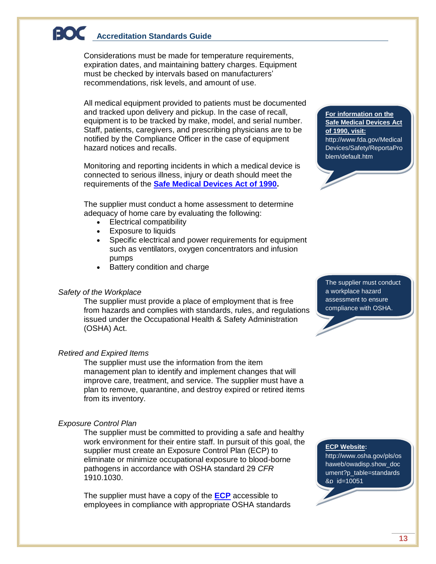Considerations must be made for temperature requirements, expiration dates, and maintaining battery charges. Equipment must be checked by intervals based on manufacturers' recommendations, risk levels, and amount of use.

All medical equipment provided to patients must be documented and tracked upon delivery and pickup. In the case of recall, equipment is to be tracked by make, model, and serial number. Staff, patients, caregivers, and prescribing physicians are to be notified by the Compliance Officer in the case of equipment hazard notices and recalls.

Monitoring and reporting incidents in which a medical device is connected to serious illness, injury or death should meet the requirements of the **[Safe Medical Devices Act of 1990.](http://www.fda.gov/MedicalDevices/Safety/ReportaProblem/default.htm)**

The supplier must conduct a home assessment to determine adequacy of home care by evaluating the following:

- Electrical compatibility
- Exposure to liquids
- Specific electrical and power requirements for equipment such as ventilators, oxygen concentrators and infusion pumps
- Battery condition and charge

### <span id="page-13-0"></span>*Safety of the Workplace*

The supplier must provide a place of employment that is free from hazards and complies with standards, rules, and regulations issued under the Occupational Health & Safety Administration (OSHA) Act.

#### <span id="page-13-1"></span>*Retired and Expired Items*

The supplier must use the information from the item management plan to identify and implement changes that will improve care, treatment, and service. The supplier must have a plan to remove, quarantine, and destroy expired or retired items from its inventory.

## <span id="page-13-2"></span>*Exposure Control Plan*

The supplier must be committed to providing a safe and healthy work environment for their entire staff. In pursuit of this goal, the supplier must create an Exposure Control Plan (ECP) to eliminate or minimize occupational exposure to blood-borne pathogens in accordance with OSHA standard 29 *CFR*  1910.1030.

The supplier must have a copy of the **[ECP](http://www.osha.gov/pls/oshaweb/owadisp.show_document?p_table=standards&p_id=10051)** accessible to employees in compliance with appropriate OSHA standards

#### **For information on the Safe Medical Devices Act of 1990, visit:**  [http://www.fda.gov/Medical](http://www.fda.gov/MedicalDevices/Safety/ReportaProblem/default.htm) [Devices/Safety/ReportaPro](http://www.fda.gov/MedicalDevices/Safety/ReportaProblem/default.htm) [blem/default.htm](http://www.fda.gov/MedicalDevices/Safety/ReportaProblem/default.htm)

The supplier must conduct a workplace hazard assessment to ensure compliance with OSHA.

#### **ECP Website:**

http://www.osha.gov/pls/os haweb/owadisp.show\_doc ument?p\_table=standards &p\_id=10051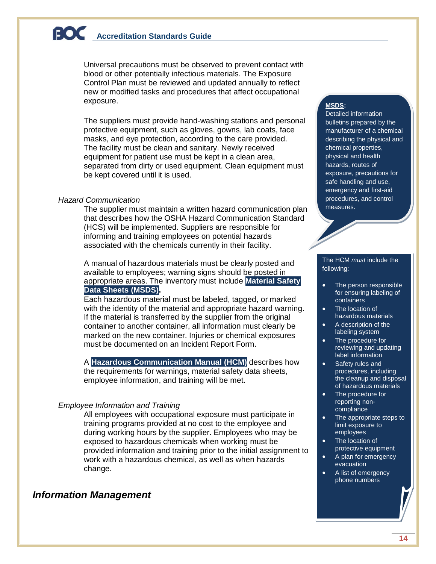Universal precautions must be observed to prevent contact with blood or other potentially infectious materials. The Exposure Control Plan must be reviewed and updated annually to reflect new or modified tasks and procedures that affect occupational exposure.

The suppliers must provide hand-washing stations and personal protective equipment, such as gloves, gowns, lab coats, face masks, and eye protection, according to the care provided. The facility must be clean and sanitary. Newly received equipment for patient use must be kept in a clean area, separated from dirty or used equipment. Clean equipment must be kept covered until it is used.

### <span id="page-14-0"></span>*Hazard Communication*

The supplier must maintain a written hazard communication plan that describes how the OSHA Hazard Communication Standard (HCS) will be implemented. Suppliers are responsible for informing and training employees on potential hazards associated with the chemicals currently in their facility.

A manual of hazardous materials must be clearly posted and available to employees; warning signs should be posted in appropriate areas. The inventory must include **Material Safety Data Sheets (MSDS).**

Each hazardous material must be labeled, tagged, or marked with the identity of the material and appropriate hazard warning. If the material is transferred by the supplier from the original container to another container, all information must clearly be marked on the new container. Injuries or chemical exposures must be documented on an Incident Report Form.

A **Hazardous Communication Manual (HCM)** describes how the requirements for warnings, material safety data sheets, employee information, and training will be met.

## <span id="page-14-1"></span>*Employee Information and Training*

All employees with occupational exposure must participate in training programs provided at no cost to the employee and during working hours by the supplier. Employees who may be exposed to hazardous chemicals when working must be provided information and training prior to the initial assignment to work with a hazardous chemical, as well as when hazards change.

## <span id="page-14-2"></span>*Information Management*

## **MSDS:**

Detailed information bulletins prepared by the manufacturer of a chemical describing the physical and chemical properties, physical and health hazards, routes of exposure, precautions for safe handling and use, emergency and first-aid procedures, and control measures.

#### The HCM *must* include the following:

- The person responsible for ensuring labeling of containers
- The location of hazardous materials
- A description of the labeling system
- The procedure for reviewing and updating label information
- Safety rules and procedures, including the cleanup and disposal of hazardous materials
- The procedure for reporting noncompliance
- The appropriate steps to limit exposure to employees
- The location of protective equipment
- A plan for emergency evacuation
- A list of emergency phone numbers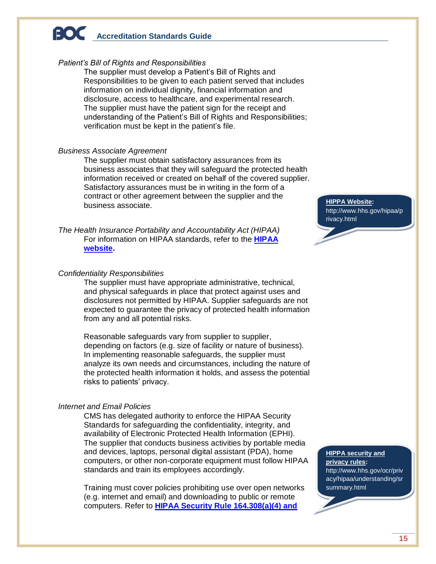### <span id="page-15-0"></span>*Patient's Bill of Rights and Responsibilities*

The supplier must develop a Patient's Bill of Rights and Responsibilities to be given to each patient served that includes information on individual dignity, financial information and disclosure, access to healthcare, and experimental research. The supplier must have the patient sign for the receipt and understanding of the Patient's Bill of Rights and Responsibilities; verification must be kept in the patient's file.

### <span id="page-15-1"></span>*Business Associate Agreement*

The supplier must obtain satisfactory assurances from its business associates that they will safeguard the protected health information received or created on behalf of the covered supplier. Satisfactory assurances must be in writing in the form of a contract or other agreement between the supplier and the business associate.

<span id="page-15-2"></span>*The Health Insurance Portability and Accountability Act (HIPAA)* For information on HIPAA standards, refer to the **[HIPAA](http://www.hhs.gov/hipaa/privacy.html)  [website.](http://www.hhs.gov/hipaa/privacy.html)**

### <span id="page-15-3"></span>*Confidentiality Responsibilities*

The supplier must have appropriate administrative, technical, and physical safeguards in place that protect against uses and disclosures not permitted by HIPAA. Supplier safeguards are not expected to guarantee the privacy of protected health information from any and all potential risks.

Reasonable safeguards vary from supplier to supplier, depending on factors (e.g. size of facility or nature of business). In implementing reasonable safeguards, the supplier must analyze its own needs and circumstances, including the nature of the protected health information it holds, and assess the potential risks to patients' privacy.

## <span id="page-15-4"></span>*Internet and Email Policies*

CMS has delegated authority to enforce the HIPAA Security Standards for safeguarding the confidentiality, integrity, and availability of Electronic Protected Health Information (EPHI). The supplier that conducts business activities by portable media and devices, laptops, personal digital assistant (PDA), home computers, or other non-corporate equipment must follow HIPAA standards and train its employees accordingly.

Training must cover policies prohibiting use over open networks (e.g. internet and email) and downloading to public or remote computers. Refer to **[HIPAA Security Rule 164.308\(a\)\(4\) and](http://www.hhs.gov/ocr/privacy/hipaa/understanding/srsummary.html)** 

**HIPPA Website:** [http://www.hhs.gov/hipaa/p](http://www.hhs.gov/hipaa/privacy.html) [rivacy.html](http://www.hhs.gov/hipaa/privacy.html)

**HIPPA security and privacy rules:**  http://www.hhs.gov/ocr/priv acy/hipaa/understanding/sr summary.html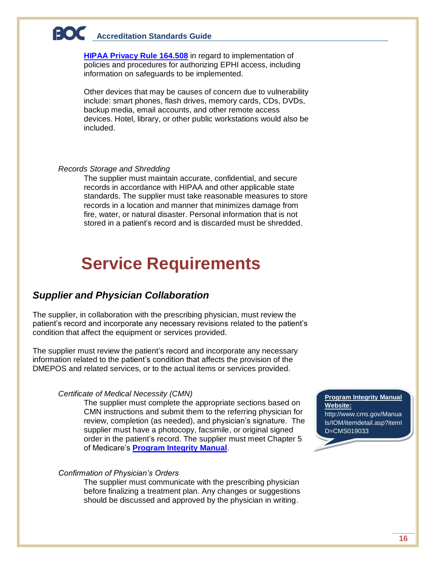**HIPAA Privacy Rule 164.508** in regard to implementation of policies and procedures for authorizing EPHI access, including information on safeguards to be implemented.

Other devices that may be causes of concern due to vulnerability include: smart phones, flash drives, memory cards, CDs, DVDs, backup media, email accounts, and other remote access devices. Hotel, library, or other public workstations would also be included.

#### <span id="page-16-0"></span>*Records Storage and Shredding*

The supplier must maintain accurate, confidential, and secure records in accordance with HIPAA and other applicable state standards. The supplier must take reasonable measures to store records in a location and manner that minimizes damage from fire, water, or natural disaster. Personal information that is not stored in a patient's record and is discarded must be shredded.

## <span id="page-16-1"></span>**Service Requirements**

## <span id="page-16-2"></span>*Supplier and Physician Collaboration*

The supplier, in collaboration with the prescribing physician, must review the patient's record and incorporate any necessary revisions related to the patient's condition that affect the equipment or services provided.

The supplier must review the patient's record and incorporate any necessary information related to the patient's condition that affects the provision of the DMEPOS and related services, or to the actual items or services provided.

#### <span id="page-16-3"></span>*Certificate of Medical Necessity (CMN)*

The supplier must complete the appropriate sections based on CMN instructions and submit them to the referring physician for review, completion (as needed), and physician's signature. The supplier must have a photocopy, facsimile, or original signed order in the patient's record. The supplier must meet Chapter 5 of Medicare's **[Program Integrity Manual](http://www.cms.gov/Manuals/IOM/itemdetail.asp?itemID=CMS019033)**.

### <span id="page-16-4"></span>*Confirmation of Physician's Orders*

The supplier must communicate with the prescribing physician before finalizing a treatment plan. Any changes or suggestions should be discussed and approved by the physician in writing.

### **Program Integrity Manual Website:**

http://www.cms.gov/Manua ls/IOM/itemdetail.asp?itemI D=CMS019033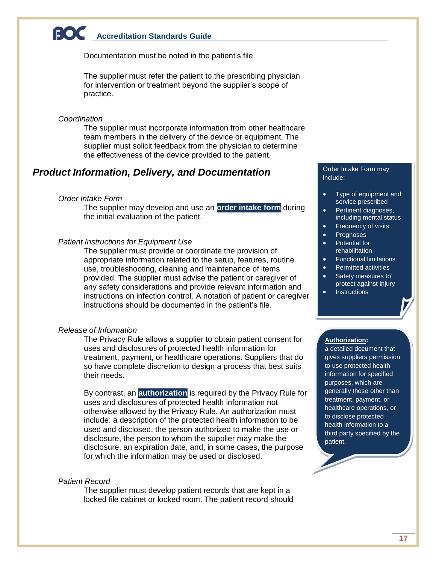Documentation must be noted in the patient's file.

The supplier must refer the patient to the prescribing physician for intervention or treatment beyond the supplier's scope of practice.

#### <span id="page-17-0"></span>*Coordination*

The supplier must incorporate information from other healthcare team members in the delivery of the device or equipment. The supplier must solicit feedback from the physician to determine the effectiveness of the device provided to the patient.

## <span id="page-17-2"></span><span id="page-17-1"></span>*Product Information, Delivery, and Documentation*

## *Order Intake Form*

The supplier may develop and use an **order intake form** during the initial evaluation of the patient.

#### <span id="page-17-3"></span>*Patient Instructions for Equipment Use*

The supplier must provide or coordinate the provision of appropriate information related to the setup, features, routine use, troubleshooting, cleaning and maintenance of items provided. The supplier must advise the patient or caregiver of any safety considerations and provide relevant information and instructions on infection control. A notation of patient or caregiver instructions should be documented in the patient's file.

### <span id="page-17-4"></span>*Release of Information*

The Privacy Rule allows a supplier to obtain patient consent for uses and disclosures of protected health information for treatment, payment, or healthcare operations. Suppliers that do so have complete discretion to design a process that best suits their needs.

By contrast, an **authorization** is required by the Privacy Rule for uses and disclosures of protected health information not otherwise allowed by the Privacy Rule. An authorization must include: a description of the protected health information to be used and disclosed, the person authorized to make the use or disclosure, the person to whom the supplier may make the disclosure, an expiration date, and, in some cases, the purpose for which the information may be used or disclosed.

### <span id="page-17-5"></span>*Patient Record*

The supplier must develop patient records that are kept in a locked file cabinet or locked room. The patient record should

Order Intake Form may include:

- Type of equipment and service prescribed
- Pertinent diagnoses, including mental status
- Frequency of visits
- Prognoses
	- Potential for rehabilitation
- **•** Functional limitations
- Permitted activities
- Safety measures to protect against injury
- **Instructions**

### **Authorization:**

a detailed document that gives suppliers permission to use protected health information for specified purposes, which are generally those other than treatment, payment, or healthcare operations, or to disclose protected health information to a third party specified by the patient.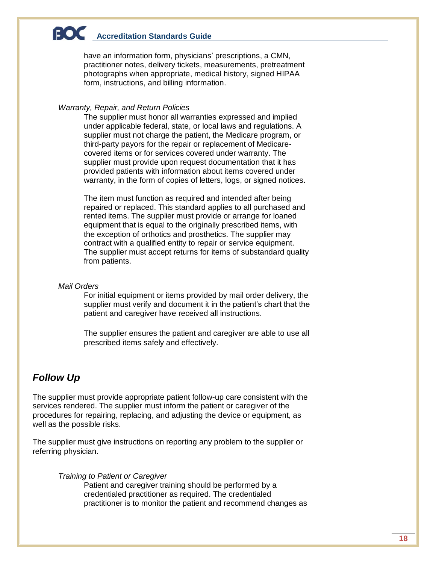have an information form, physicians' prescriptions, a CMN, practitioner notes, delivery tickets, measurements, pretreatment photographs when appropriate, medical history, signed HIPAA form, instructions, and billing information.

### <span id="page-18-0"></span>*Warranty, Repair, and Return Policies*

The supplier must honor all warranties expressed and implied under applicable federal, state, or local laws and regulations. A supplier must not charge the patient, the Medicare program, or third-party payors for the repair or replacement of Medicarecovered items or for services covered under warranty. The supplier must provide upon request documentation that it has provided patients with information about items covered under warranty, in the form of copies of letters, logs, or signed notices.

The item must function as required and intended after being repaired or replaced. This standard applies to all purchased and rented items. The supplier must provide or arrange for loaned equipment that is equal to the originally prescribed items, with the exception of orthotics and prosthetics. The supplier may contract with a qualified entity to repair or service equipment. The supplier must accept returns for items of substandard quality from patients.

## <span id="page-18-1"></span>*Mail Orders*

For initial equipment or items provided by mail order delivery, the supplier must verify and document it in the patient's chart that the patient and caregiver have received all instructions.

The supplier ensures the patient and caregiver are able to use all prescribed items safely and effectively.

## <span id="page-18-2"></span>*Follow Up*

The supplier must provide appropriate patient follow-up care consistent with the services rendered. The supplier must inform the patient or caregiver of the procedures for repairing, replacing, and adjusting the device or equipment, as well as the possible risks.

<span id="page-18-3"></span>The supplier must give instructions on reporting any problem to the supplier or referring physician.

### *Training to Patient or Caregiver*

Patient and caregiver training should be performed by a credentialed practitioner as required. The credentialed practitioner is to monitor the patient and recommend changes as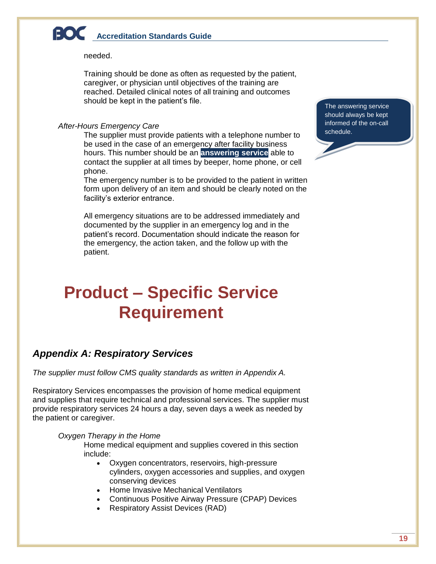needed.

Training should be done as often as requested by the patient, caregiver, or physician until objectives of the training are reached. Detailed clinical notes of all training and outcomes should be kept in the patient's file.

## <span id="page-19-0"></span>*After-Hours Emergency Care*

The supplier must provide patients with a telephone number to be used in the case of an emergency after facility business hours. This number should be an **answering service** able to contact the supplier at all times by beeper, home phone, or cell phone.

The emergency number is to be provided to the patient in written form upon delivery of an item and should be clearly noted on the facility's exterior entrance.

All emergency situations are to be addressed immediately and documented by the supplier in an emergency log and in the patient's record. Documentation should indicate the reason for the emergency, the action taken, and the follow up with the patient.

## <span id="page-19-1"></span>**Product – Specific Service Requirement**

## <span id="page-19-2"></span>*Appendix A: Respiratory Services*

*The supplier must follow CMS quality standards as written in Appendix A.*

Respiratory Services encompasses the provision of home medical equipment and supplies that require technical and professional services. The supplier must provide respiratory services 24 hours a day, seven days a week as needed by the patient or caregiver.

### *Oxygen Therapy in the Home*

Home medical equipment and supplies covered in this section include:

- Oxygen concentrators, reservoirs, high-pressure cylinders, oxygen accessories and supplies, and oxygen conserving devices
- Home Invasive Mechanical Ventilators
- Continuous Positive Airway Pressure (CPAP) Devices
- Respiratory Assist Devices (RAD)

The answering service should always be kept informed of the on-call schedule.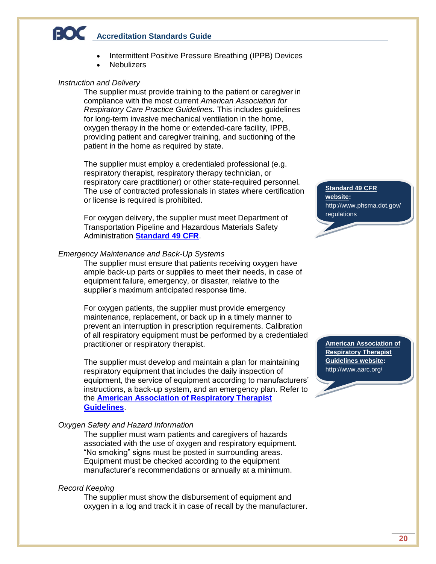- Intermittent Positive Pressure Breathing (IPPB) Devices
- **Nebulizers**

## *Instruction and Delivery*

The supplier must provide training to the patient or caregiver in compliance with the most current *American Association for Respiratory Care Practice Guidelines.* This includes guidelines for long-term invasive mechanical ventilation in the home, oxygen therapy in the home or extended-care facility, IPPB, providing patient and caregiver training, and suctioning of the patient in the home as required by state.

The supplier must employ a credentialed professional (e.g. respiratory therapist, respiratory therapy technician, or respiratory care practitioner) or other state-required personnel. The use of contracted professionals in states where certification or license is required is prohibited.

For oxygen delivery, the supplier must meet Department of Transportation Pipeline and Hazardous Materials Safety Administration **[Standard 49 CFR](http://www.phsma.dot.gov/regulations)**.

### *Emergency Maintenance and Back-Up Systems*

The supplier must ensure that patients receiving oxygen have ample back-up parts or supplies to meet their needs, in case of equipment failure, emergency, or disaster, relative to the supplier's maximum anticipated response time.

For oxygen patients, the supplier must provide emergency maintenance, replacement, or back up in a timely manner to prevent an interruption in prescription requirements. Calibration of all respiratory equipment must be performed by a credentialed practitioner or respiratory therapist.

The supplier must develop and maintain a plan for maintaining respiratory equipment that includes the daily inspection of equipment, the service of equipment according to manufacturers' instructions, a back-up system, and an emergency plan. Refer to the **[American Association of Respiratory Therapist](http://www.aarc.org/)  [Guidelines](http://www.aarc.org/)**.

### *Oxygen Safety and Hazard Information*

The supplier must warn patients and caregivers of hazards associated with the use of oxygen and respiratory equipment. "No smoking" signs must be posted in surrounding areas. Equipment must be checked according to the equipment manufacturer's recommendations or annually at a minimum.

## *Record Keeping*

The supplier must show the disbursement of equipment and oxygen in a log and track it in case of recall by the manufacturer. **Standard 49 CFR website:** http://www.phsma.dot.gov/ regulations

**American Association of Respiratory Therapist Guidelines website:** http://www.aarc.org/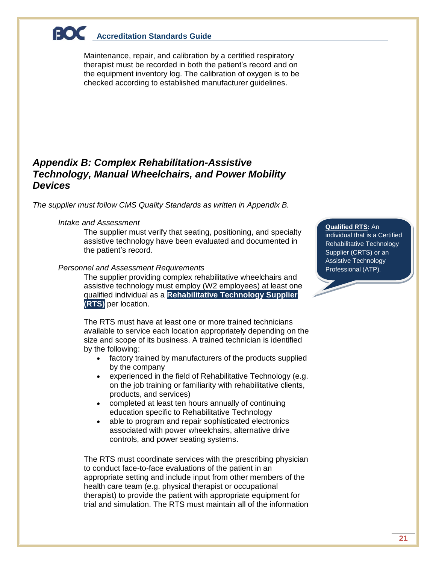Maintenance, repair, and calibration by a certified respiratory therapist must be recorded in both the patient's record and on the equipment inventory log. The calibration of oxygen is to be checked according to established manufacturer guidelines.

## <span id="page-21-0"></span>*Appendix B: Complex Rehabilitation-Assistive Technology, Manual Wheelchairs, and Power Mobility Devices*

*The supplier must follow CMS Quality Standards as written in Appendix B.*

## *Intake and Assessment*

The supplier must verify that seating, positioning, and specialty assistive technology have been evaluated and documented in the patient's record.

## *Personnel and Assessment Requirements*

The supplier providing complex rehabilitative wheelchairs and assistive technology must employ (W2 employees) at least one qualified individual as a **Rehabilitative Technology Supplier (RTS)** per location.

The RTS must have at least one or more trained technicians available to service each location appropriately depending on the size and scope of its business. A trained technician is identified by the following:

- factory trained by manufacturers of the products supplied by the company
- experienced in the field of Rehabilitative Technology (e.g. on the job training or familiarity with rehabilitative clients, products, and services)
- completed at least ten hours annually of continuing education specific to Rehabilitative Technology
- able to program and repair sophisticated electronics associated with power wheelchairs, alternative drive controls, and power seating systems.

The RTS must coordinate services with the prescribing physician to conduct face-to-face evaluations of the patient in an appropriate setting and include input from other members of the health care team (e.g. physical therapist or occupational therapist) to provide the patient with appropriate equipment for trial and simulation. The RTS must maintain all of the information

### **Qualified RTS:** An

individual that is a Certified Rehabilitative Technology Supplier (CRTS) or an Assistive Technology Professional (ATP).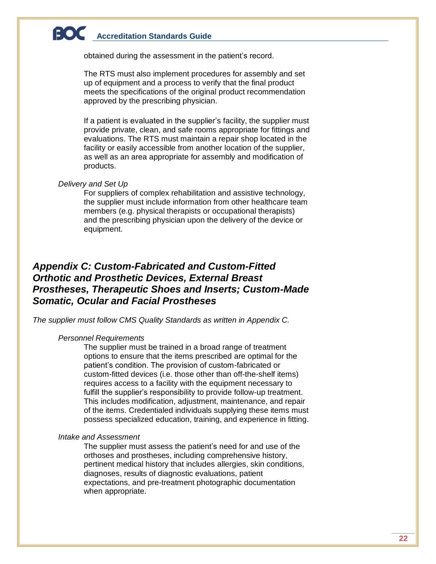obtained during the assessment in the patient's record.

The RTS must also implement procedures for assembly and set up of equipment and a process to verify that the final product meets the specifications of the original product recommendation approved by the prescribing physician.

If a patient is evaluated in the supplier's facility, the supplier must provide private, clean, and safe rooms appropriate for fittings and evaluations. The RTS must maintain a repair shop located in the facility or easily accessible from another location of the supplier, as well as an area appropriate for assembly and modification of products.

### *Delivery and Set Up*

For suppliers of complex rehabilitation and assistive technology, the supplier must include information from other healthcare team members (e.g. physical therapists or occupational therapists) and the prescribing physician upon the delivery of the device or equipment.

## <span id="page-22-0"></span>*Appendix C: Custom-Fabricated and Custom-Fitted Orthotic and Prosthetic Devices, External Breast Prostheses, Therapeutic Shoes and Inserts; Custom-Made Somatic, Ocular and Facial Prostheses*

*The supplier must follow CMS Quality Standards as written in Appendix C.*

### *Personnel Requirements*

The supplier must be trained in a broad range of treatment options to ensure that the items prescribed are optimal for the patient's condition. The provision of custom-fabricated or custom-fitted devices (i.e. those other than off-the-shelf items) requires access to a facility with the equipment necessary to fulfill the supplier's responsibility to provide follow-up treatment. This includes modification, adjustment, maintenance, and repair of the items. Credentialed individuals supplying these items must possess specialized education, training, and experience in fitting.

### *Intake and Assessment*

The supplier must assess the patient's need for and use of the orthoses and prostheses, including comprehensive history, pertinent medical history that includes allergies, skin conditions, diagnoses, results of diagnostic evaluations, patient expectations, and pre-treatment photographic documentation when appropriate.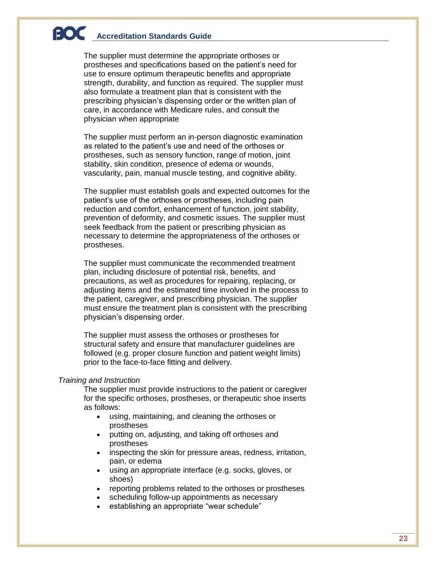The supplier must determine the appropriate orthoses or prostheses and specifications based on the patient's need for use to ensure optimum therapeutic benefits and appropriate strength, durability, and function as required. The supplier must also formulate a treatment plan that is consistent with the prescribing physician's dispensing order or the written plan of care, in accordance with Medicare rules, and consult the physician when appropriate

The supplier must perform an in-person diagnostic examination as related to the patient's use and need of the orthoses or prostheses, such as sensory function, range of motion, joint stability, skin condition, presence of edema or wounds, vascularity, pain, manual muscle testing, and cognitive ability.

The supplier must establish goals and expected outcomes for the patient's use of the orthoses or prostheses, including pain reduction and comfort, enhancement of function, joint stability, prevention of deformity, and cosmetic issues. The supplier must seek feedback from the patient or prescribing physician as necessary to determine the appropriateness of the orthoses or prostheses.

The supplier must communicate the recommended treatment plan, including disclosure of potential risk, benefits, and precautions, as well as procedures for repairing, replacing, or adjusting items and the estimated time involved in the process to the patient, caregiver, and prescribing physician. The supplier must ensure the treatment plan is consistent with the prescribing physician's dispensing order.

The supplier must assess the orthoses or prostheses for structural safety and ensure that manufacturer guidelines are followed (e.g. proper closure function and patient weight limits) prior to the face-to-face fitting and delivery.

## *Training and Instruction*

The supplier must provide instructions to the patient or caregiver for the specific orthoses, prostheses, or therapeutic shoe inserts as follows:

- using, maintaining, and cleaning the orthoses or prostheses
- putting on, adjusting, and taking off orthoses and prostheses
- inspecting the skin for pressure areas, redness, irritation, pain, or edema
- using an appropriate interface (e.g. socks, gloves, or shoes)
- reporting problems related to the orthoses or prostheses
- scheduling follow-up appointments as necessary
- establishing an appropriate "wear schedule"